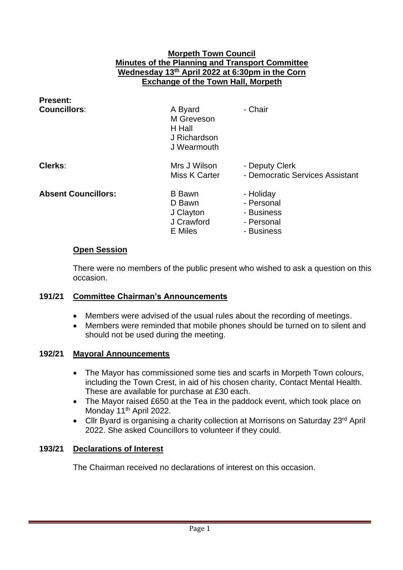#### **Morpeth Town Council Minutes of the Planning and Transport Committee Wednesday 13th April 2022 at 6:30pm in the Corn Exchange of the Town Hall, Morpeth**

| <b>Present:</b><br><b>Councillors:</b> | A Byard<br>M Greveson<br>H Hall<br>J Richardson<br>J Wearmouth | - Chair                                                           |
|----------------------------------------|----------------------------------------------------------------|-------------------------------------------------------------------|
| Clerks:                                | Mrs J Wilson<br>Miss K Carter                                  | - Deputy Clerk<br>- Democratic Services Assistant                 |
| <b>Absent Councillors:</b>             | <b>B</b> Bawn<br>D Bawn<br>J Clayton<br>J Crawford<br>E Miles  | - Holiday<br>- Personal<br>- Business<br>- Personal<br>- Business |

### **Open Session**

There were no members of the public present who wished to ask a question on this occasion.

### **191/21 Committee Chairman's Announcements**

- Members were advised of the usual rules about the recording of meetings.
- Members were reminded that mobile phones should be turned on to silent and should not be used during the meeting.

#### **192/21 Mayoral Announcements**

- The Mayor has commissioned some ties and scarfs in Morpeth Town colours, including the Town Crest, in aid of his chosen charity, Contact Mental Health. These are available for purchase at £30 each.
- The Mayor raised £650 at the Tea in the paddock event, which took place on Monday 11<sup>th</sup> April 2022.
- Cllr Byard is organising a charity collection at Morrisons on Saturday 23<sup>rd</sup> April 2022. She asked Councillors to volunteer if they could.

### **193/21 Declarations of Interest**

The Chairman received no declarations of interest on this occasion.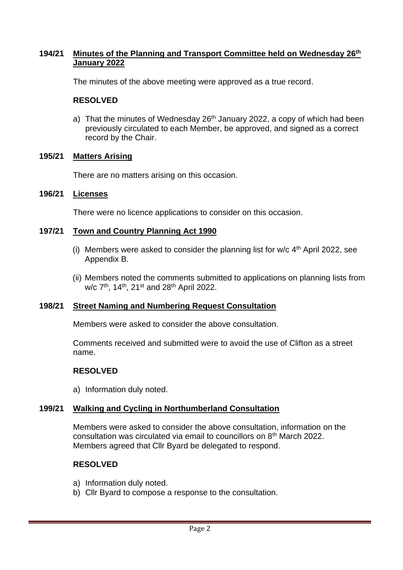## **194/21 Minutes of the Planning and Transport Committee held on Wednesday 26th January 2022**

The minutes of the above meeting were approved as a true record.

## **RESOLVED**

a) That the minutes of Wednesday  $26<sup>th</sup>$  January 2022, a copy of which had been previously circulated to each Member, be approved, and signed as a correct record by the Chair.

## **195/21 Matters Arising**

There are no matters arising on this occasion.

### **196/21 Licenses**

There were no licence applications to consider on this occasion.

### **197/21 Town and Country Planning Act 1990**

- (i) Members were asked to consider the planning list for  $w/c$  4<sup>th</sup> April 2022, see Appendix B.
- (ii) Members noted the comments submitted to applications on planning lists from w/c 7<sup>th</sup>, 14<sup>th</sup>, 21<sup>st</sup> and 28<sup>th</sup> April 2022.

# **198/21 Street Naming and Numbering Request Consultation**

Members were asked to consider the above consultation.

Comments received and submitted were to avoid the use of Clifton as a street name.

### **RESOLVED**

a) Information duly noted.

### **199/21 Walking and Cycling in Northumberland Consultation**

Members were asked to consider the above consultation, information on the consultation was circulated via email to councillors on 8th March 2022. Members agreed that Cllr Byard be delegated to respond.

### **RESOLVED**

- a) Information duly noted.
- b) Cllr Byard to compose a response to the consultation.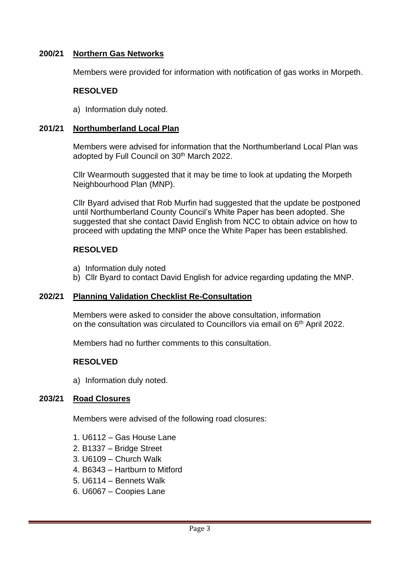### **200/21 Northern Gas Networks**

Members were provided for information with notification of gas works in Morpeth.

#### **RESOLVED**

a) Information duly noted.

#### **201/21 Northumberland Local Plan**

Members were advised for information that the Northumberland Local Plan was adopted by Full Council on 30<sup>th</sup> March 2022.

Cllr Wearmouth suggested that it may be time to look at updating the Morpeth Neighbourhood Plan (MNP).

Cllr Byard advised that Rob Murfin had suggested that the update be postponed until Northumberland County Council's White Paper has been adopted. She suggested that she contact David English from NCC to obtain advice on how to proceed with updating the MNP once the White Paper has been established.

#### **RESOLVED**

- a) Information duly noted
- b) Cllr Byard to contact David English for advice regarding updating the MNP.

#### **202/21 Planning Validation Checklist Re-Consultation**

Members were asked to consider the above consultation, information on the consultation was circulated to Councillors via email on 6<sup>th</sup> April 2022.

Members had no further comments to this consultation.

#### **RESOLVED**

a) Information duly noted.

#### **203/21 Road Closures**

Members were advised of the following road closures:

- 1. U6112 Gas House Lane
- 2. B1337 Bridge Street
- 3. U6109 Church Walk
- 4. B6343 Hartburn to Mitford
- 5. U6114 Bennets Walk
- 6. U6067 Coopies Lane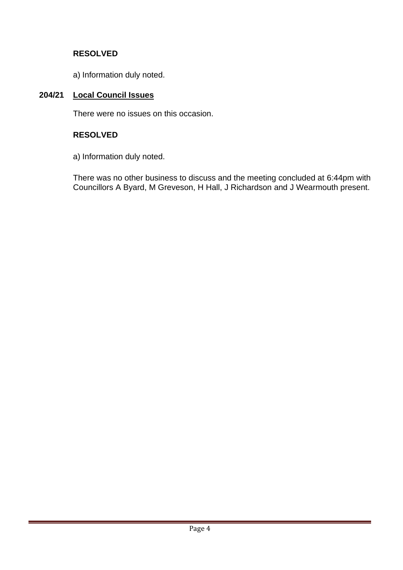# **RESOLVED**

a) Information duly noted.

# **204/21 Local Council Issues**

There were no issues on this occasion.

# **RESOLVED**

a) Information duly noted.

There was no other business to discuss and the meeting concluded at 6:44pm with Councillors A Byard, M Greveson, H Hall, J Richardson and J Wearmouth present.